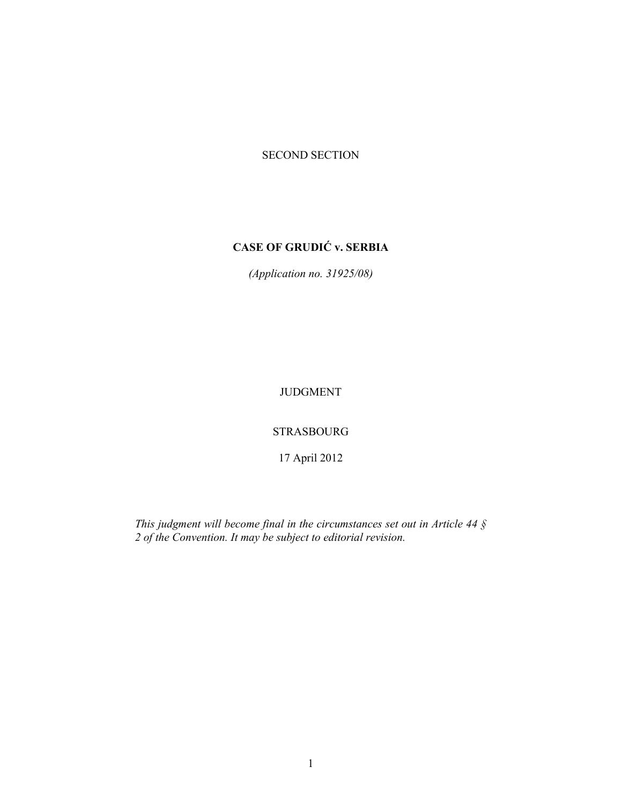# SECOND SECTION

# **CASE OF GRUDIĆ v. SERBIA**

*(Application no. 31925/08)* 

JUDGMENT

STRASBOURG

17 April 2012

*This judgment will become final in the circumstances set out in Article 44 § 2 of the Convention. It may be subject to editorial revision.*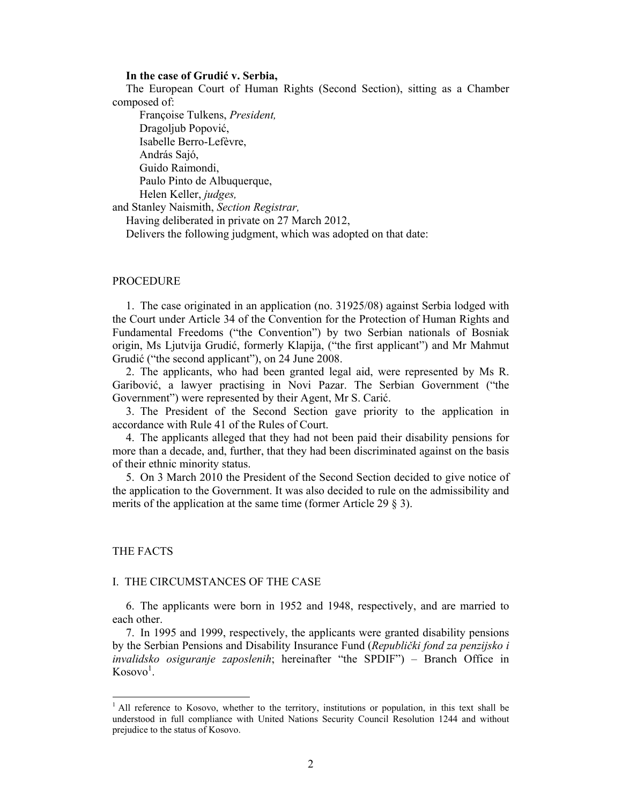### **In the case of Grudić v. Serbia,**

The European Court of Human Rights (Second Section), sitting as a Chamber composed of:

 Françoise Tulkens, *President,*  Dragoljub Popović, Isabelle Berro-Lefèvre, András Sajó, Guido Raimondi, Paulo Pinto de Albuquerque, Helen Keller, *judges,*

and Stanley Naismith, *Section Registrar,*

Having deliberated in private on 27 March 2012,

Delivers the following judgment, which was adopted on that date:

### **PROCEDURE**

1. The case originated in an application (no. 31925/08) against Serbia lodged with the Court under Article 34 of the Convention for the Protection of Human Rights and Fundamental Freedoms ("the Convention") by two Serbian nationals of Bosniak origin, Ms Ljutvija Grudić, formerly Klapija, ("the first applicant") and Mr Mahmut Grudić ("the second applicant"), on 24 June 2008.

2. The applicants, who had been granted legal aid, were represented by Ms R. Garibović, a lawyer practising in Novi Pazar. The Serbian Government ("the Government") were represented by their Agent, Mr S. Carić.

3. The President of the Second Section gave priority to the application in accordance with Rule 41 of the Rules of Court.

4. The applicants alleged that they had not been paid their disability pensions for more than a decade, and, further, that they had been discriminated against on the basis of their ethnic minority status.

5. On 3 March 2010 the President of the Second Section decided to give notice of the application to the Government. It was also decided to rule on the admissibility and merits of the application at the same time (former Article 29 § 3).

### THE FACTS

 $\overline{a}$ 

#### I. THE CIRCUMSTANCES OF THE CASE

6. The applicants were born in 1952 and 1948, respectively, and are married to each other.

7. In 1995 and 1999, respectively, the applicants were granted disability pensions by the Serbian Pensions and Disability Insurance Fund (*Republički fond za penzijsko i invalidsko osiguranje zaposlenih*; hereinafter "the SPDIF") – Branch Office in  $Kosovo<sup>1</sup>$ .

<sup>&</sup>lt;sup>1</sup> All reference to Kosovo, whether to the territory, institutions or population, in this text shall be understood in full compliance with United Nations Security Council Resolution 1244 and without prejudice to the status of Kosovo.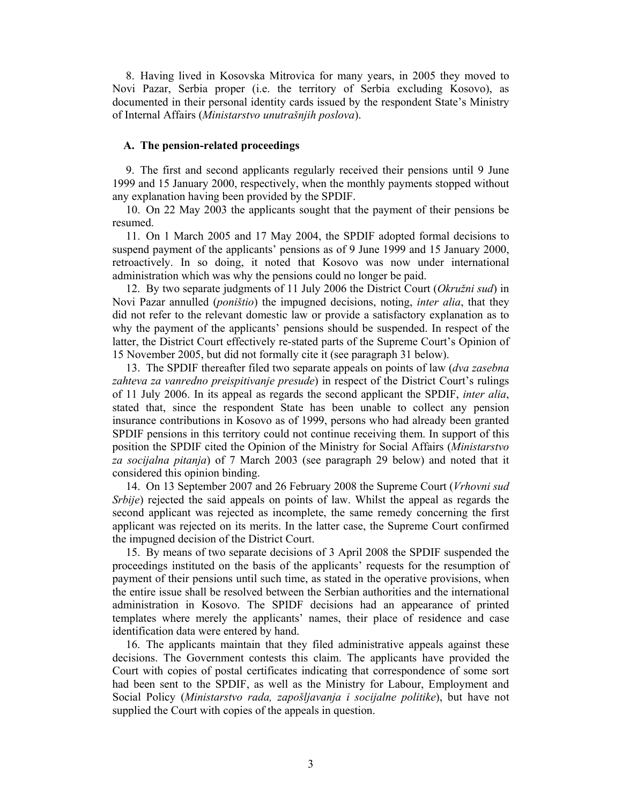8. Having lived in Kosovska Mitrovica for many years, in 2005 they moved to Novi Pazar, Serbia proper (i.e. the territory of Serbia excluding Kosovo), as documented in their personal identity cards issued by the respondent State's Ministry of Internal Affairs (*Ministarstvo unutrašnjih poslova*).

### **A. The pension-related proceedings**

9. The first and second applicants regularly received their pensions until 9 June 1999 and 15 January 2000, respectively, when the monthly payments stopped without any explanation having been provided by the SPDIF.

10. On 22 May 2003 the applicants sought that the payment of their pensions be resumed.

11. On 1 March 2005 and 17 May 2004, the SPDIF adopted formal decisions to suspend payment of the applicants' pensions as of 9 June 1999 and 15 January 2000, retroactively. In so doing, it noted that Kosovo was now under international administration which was why the pensions could no longer be paid.

12. By two separate judgments of 11 July 2006 the District Court (*Okružni sud*) in Novi Pazar annulled (*poništio*) the impugned decisions, noting, *inter alia*, that they did not refer to the relevant domestic law or provide a satisfactory explanation as to why the payment of the applicants' pensions should be suspended. In respect of the latter, the District Court effectively re-stated parts of the Supreme Court's Opinion of 15 November 2005, but did not formally cite it (see paragraph 31 below).

13. The SPDIF thereafter filed two separate appeals on points of law (*dva zasebna zahteva za vanredno preispitivanje presude*) in respect of the District Court's rulings of 11 July 2006. In its appeal as regards the second applicant the SPDIF, *inter alia*, stated that, since the respondent State has been unable to collect any pension insurance contributions in Kosovo as of 1999, persons who had already been granted SPDIF pensions in this territory could not continue receiving them. In support of this position the SPDIF cited the Opinion of the Ministry for Social Affairs (*Ministarstvo za socijalna pitanja*) of 7 March 2003 (see paragraph 29 below) and noted that it considered this opinion binding.

14. On 13 September 2007 and 26 February 2008 the Supreme Court (*Vrhovni sud Srbije*) rejected the said appeals on points of law. Whilst the appeal as regards the second applicant was rejected as incomplete, the same remedy concerning the first applicant was rejected on its merits. In the latter case, the Supreme Court confirmed the impugned decision of the District Court.

15. By means of two separate decisions of 3 April 2008 the SPDIF suspended the proceedings instituted on the basis of the applicants' requests for the resumption of payment of their pensions until such time, as stated in the operative provisions, when the entire issue shall be resolved between the Serbian authorities and the international administration in Kosovo. The SPIDF decisions had an appearance of printed templates where merely the applicants' names, their place of residence and case identification data were entered by hand.

16. The applicants maintain that they filed administrative appeals against these decisions. The Government contests this claim. The applicants have provided the Court with copies of postal certificates indicating that correspondence of some sort had been sent to the SPDIF, as well as the Ministry for Labour, Employment and Social Policy (*Ministarstvo rada, zapošljavanja i socijalne politike*), but have not supplied the Court with copies of the appeals in question.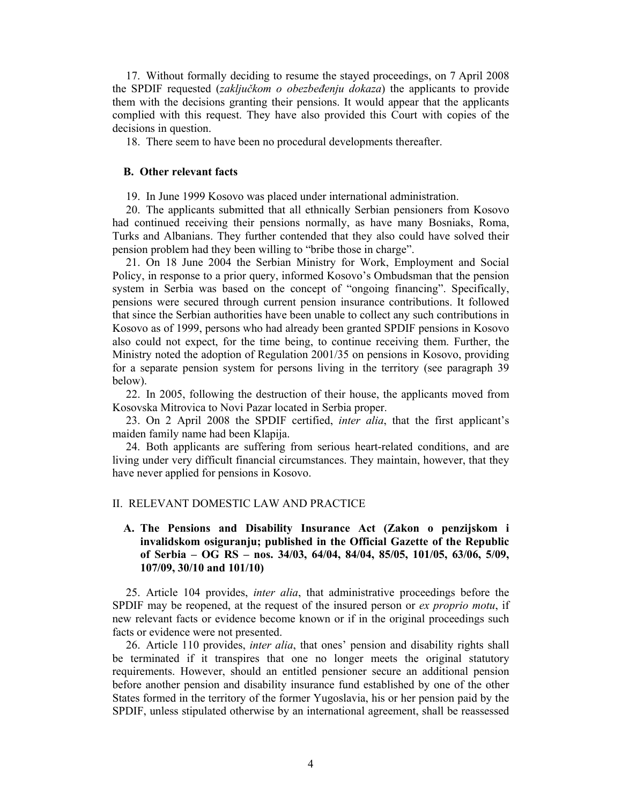17. Without formally deciding to resume the stayed proceedings, on 7 April 2008 the SPDIF requested (*zaključkom o obezbeđenju dokaza*) the applicants to provide them with the decisions granting their pensions. It would appear that the applicants complied with this request. They have also provided this Court with copies of the decisions in question.

18. There seem to have been no procedural developments thereafter.

### **B. Other relevant facts**

19. In June 1999 Kosovo was placed under international administration.

20. The applicants submitted that all ethnically Serbian pensioners from Kosovo had continued receiving their pensions normally, as have many Bosniaks, Roma, Turks and Albanians. They further contended that they also could have solved their pension problem had they been willing to "bribe those in charge".

21. On 18 June 2004 the Serbian Ministry for Work, Employment and Social Policy, in response to a prior query, informed Kosovo's Ombudsman that the pension system in Serbia was based on the concept of "ongoing financing". Specifically, pensions were secured through current pension insurance contributions. It followed that since the Serbian authorities have been unable to collect any such contributions in Kosovo as of 1999, persons who had already been granted SPDIF pensions in Kosovo also could not expect, for the time being, to continue receiving them. Further, the Ministry noted the adoption of Regulation 2001/35 on pensions in Kosovo, providing for a separate pension system for persons living in the territory (see paragraph 39 below).

22. In 2005, following the destruction of their house, the applicants moved from Kosovska Mitrovica to Novi Pazar located in Serbia proper.

23. On 2 April 2008 the SPDIF certified, *inter alia*, that the first applicant's maiden family name had been Klapija.

24. Both applicants are suffering from serious heart-related conditions, and are living under very difficult financial circumstances. They maintain, however, that they have never applied for pensions in Kosovo.

#### II. RELEVANT DOMESTIC LAW AND PRACTICE

# **A. The Pensions and Disability Insurance Act (Zakon o penzijskom i invalidskom osiguranju; published in the Official Gazette of the Republic of Serbia – OG RS – nos. 34/03, 64/04, 84/04, 85/05, 101/05, 63/06, 5/09, 107/09, 30/10 and 101/10)**

25. Article 104 provides, *inter alia*, that administrative proceedings before the SPDIF may be reopened, at the request of the insured person or *ex proprio motu*, if new relevant facts or evidence become known or if in the original proceedings such facts or evidence were not presented.

26. Article 110 provides, *inter alia*, that ones' pension and disability rights shall be terminated if it transpires that one no longer meets the original statutory requirements. However, should an entitled pensioner secure an additional pension before another pension and disability insurance fund established by one of the other States formed in the territory of the former Yugoslavia, his or her pension paid by the SPDIF, unless stipulated otherwise by an international agreement, shall be reassessed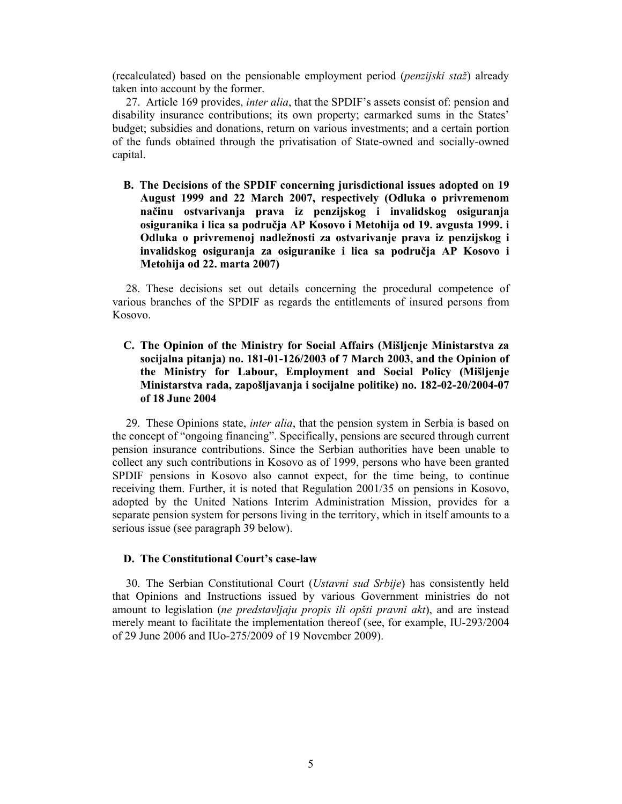(recalculated) based on the pensionable employment period (*penzijski staž*) already taken into account by the former.

27. Article 169 provides, *inter alia*, that the SPDIF's assets consist of: pension and disability insurance contributions; its own property; earmarked sums in the States' budget; subsidies and donations, return on various investments; and a certain portion of the funds obtained through the privatisation of State-owned and socially-owned capital.

**B. The Decisions of the SPDIF concerning jurisdictional issues adopted on 19 August 1999 and 22 March 2007, respectively (Odluka o privremenom načinu ostvarivanja prava iz penzijskog i invalidskog osiguranja osiguranika i lica sa područja AP Kosovo i Metohija od 19. avgusta 1999. i Odluka o privremenoj nadležnosti za ostvarivanje prava iz penzijskog i invalidskog osiguranja za osiguranike i lica sa područja AP Kosovo i Metohija od 22. marta 2007)** 

28. These decisions set out details concerning the procedural competence of various branches of the SPDIF as regards the entitlements of insured persons from Kosovo.

**C. The Opinion of the Ministry for Social Affairs (Mišljenje Ministarstva za socijalna pitanja) no. 181-01-126/2003 of 7 March 2003, and the Opinion of the Ministry for Labour, Employment and Social Policy (Mišljenje Ministarstva rada, zapošljavanja i socijalne politike) no. 182-02-20/2004-07 of 18 June 2004** 

29. These Opinions state, *inter alia*, that the pension system in Serbia is based on the concept of "ongoing financing". Specifically, pensions are secured through current pension insurance contributions. Since the Serbian authorities have been unable to collect any such contributions in Kosovo as of 1999, persons who have been granted SPDIF pensions in Kosovo also cannot expect, for the time being, to continue receiving them. Further, it is noted that Regulation 2001/35 on pensions in Kosovo, adopted by the United Nations Interim Administration Mission, provides for a separate pension system for persons living in the territory, which in itself amounts to a serious issue (see paragraph 39 below).

# **D. The Constitutional Court's case-law**

30. The Serbian Constitutional Court (*Ustavni sud Srbije*) has consistently held that Opinions and Instructions issued by various Government ministries do not amount to legislation (*ne predstavljaju propis ili opšti pravni akt*), and are instead merely meant to facilitate the implementation thereof (see, for example, IU-293/2004 of 29 June 2006 and IUo-275/2009 of 19 November 2009).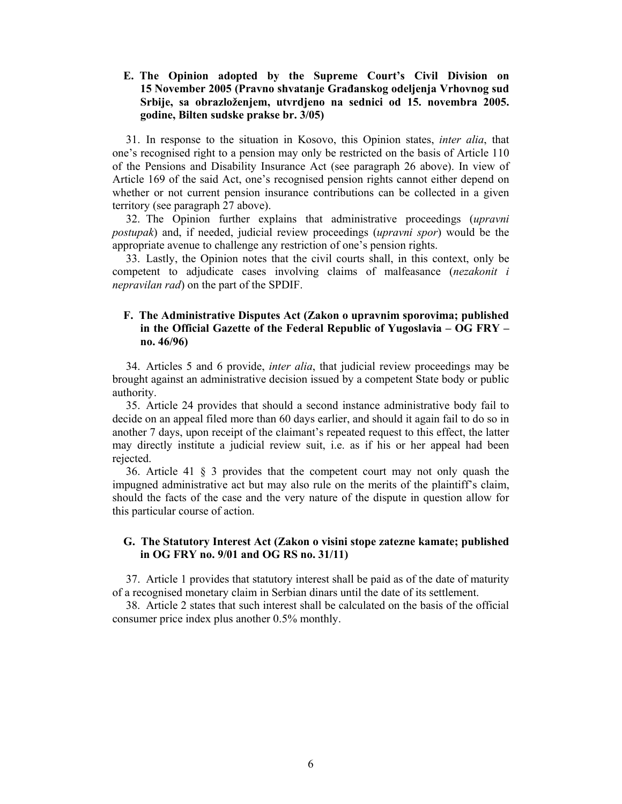# **E. The Opinion adopted by the Supreme Court's Civil Division on 15 November 2005 (Pravno shvatanje Građanskog odeljenja Vrhovnog sud Srbije, sa obrazloženjem, utvrdjeno na sednici od 15. novembra 2005. godine, Bilten sudske prakse br. 3/05)**

31. In response to the situation in Kosovo, this Opinion states, *inter alia*, that one's recognised right to a pension may only be restricted on the basis of Article 110 of the Pensions and Disability Insurance Act (see paragraph 26 above). In view of Article 169 of the said Act, one's recognised pension rights cannot either depend on whether or not current pension insurance contributions can be collected in a given territory (see paragraph 27 above).

32. The Opinion further explains that administrative proceedings (*upravni postupak*) and, if needed, judicial review proceedings (*upravni spor*) would be the appropriate avenue to challenge any restriction of one's pension rights.

33. Lastly, the Opinion notes that the civil courts shall, in this context, only be competent to adjudicate cases involving claims of malfeasance (*nezakonit i nepravilan rad*) on the part of the SPDIF.

# **F. The Administrative Disputes Act (Zakon o upravnim sporovima; published in the Official Gazette of the Federal Republic of Yugoslavia – OG FRY – no. 46/96)**

34. Articles 5 and 6 provide, *inter alia*, that judicial review proceedings may be brought against an administrative decision issued by a competent State body or public authority.

35. Article 24 provides that should a second instance administrative body fail to decide on an appeal filed more than 60 days earlier, and should it again fail to do so in another 7 days, upon receipt of the claimant's repeated request to this effect, the latter may directly institute a judicial review suit, i.e. as if his or her appeal had been rejected.

36. Article 41 § 3 provides that the competent court may not only quash the impugned administrative act but may also rule on the merits of the plaintiff's claim, should the facts of the case and the very nature of the dispute in question allow for this particular course of action.

# **G. The Statutory Interest Act (Zakon o visini stope zatezne kamate; published in OG FRY no. 9/01 and OG RS no. 31/11)**

37. Article 1 provides that statutory interest shall be paid as of the date of maturity of a recognised monetary claim in Serbian dinars until the date of its settlement.

38. Article 2 states that such interest shall be calculated on the basis of the official consumer price index plus another 0.5% monthly.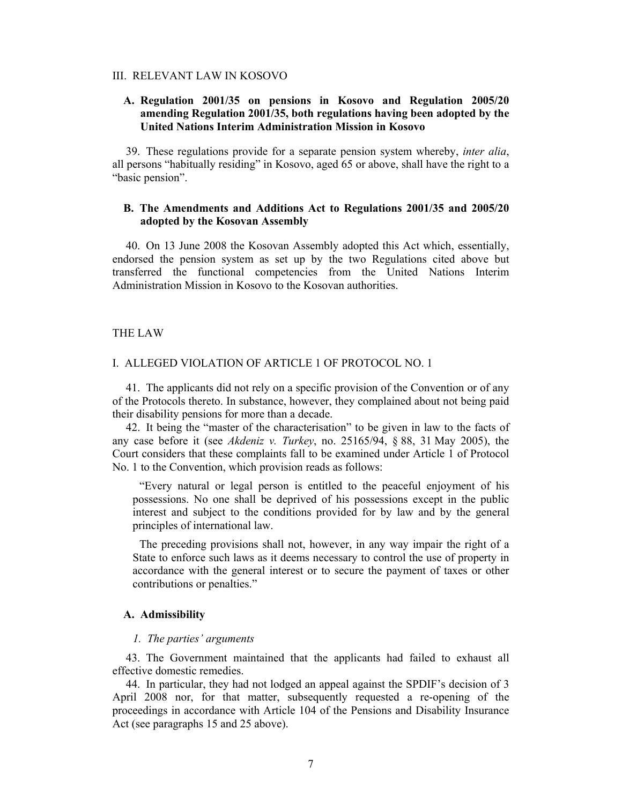### III. RELEVANT LAW IN KOSOVO

# **A. Regulation 2001/35 on pensions in Kosovo and Regulation 2005/20 amending Regulation 2001/35, both regulations having been adopted by the United Nations Interim Administration Mission in Kosovo**

39. These regulations provide for a separate pension system whereby, *inter alia*, all persons "habitually residing" in Kosovo, aged 65 or above, shall have the right to a "basic pension".

# **B. The Amendments and Additions Act to Regulations 2001/35 and 2005/20 adopted by the Kosovan Assembly**

40. On 13 June 2008 the Kosovan Assembly adopted this Act which, essentially, endorsed the pension system as set up by the two Regulations cited above but transferred the functional competencies from the United Nations Interim Administration Mission in Kosovo to the Kosovan authorities.

### THE LAW

### I. ALLEGED VIOLATION OF ARTICLE 1 OF PROTOCOL NO. 1

41. The applicants did not rely on a specific provision of the Convention or of any of the Protocols thereto. In substance, however, they complained about not being paid their disability pensions for more than a decade.

42. It being the "master of the characterisation" to be given in law to the facts of any case before it (see *Akdeniz v. Turkey*, no. 25165/94, § 88, 31 May 2005), the Court considers that these complaints fall to be examined under Article 1 of Protocol No. 1 to the Convention, which provision reads as follows:

"Every natural or legal person is entitled to the peaceful enjoyment of his possessions. No one shall be deprived of his possessions except in the public interest and subject to the conditions provided for by law and by the general principles of international law.

The preceding provisions shall not, however, in any way impair the right of a State to enforce such laws as it deems necessary to control the use of property in accordance with the general interest or to secure the payment of taxes or other contributions or penalties."

### **A. Admissibility**

#### *1. The parties' arguments*

43. The Government maintained that the applicants had failed to exhaust all effective domestic remedies.

44. In particular, they had not lodged an appeal against the SPDIF's decision of 3 April 2008 nor, for that matter, subsequently requested a re-opening of the proceedings in accordance with Article 104 of the Pensions and Disability Insurance Act (see paragraphs 15 and 25 above).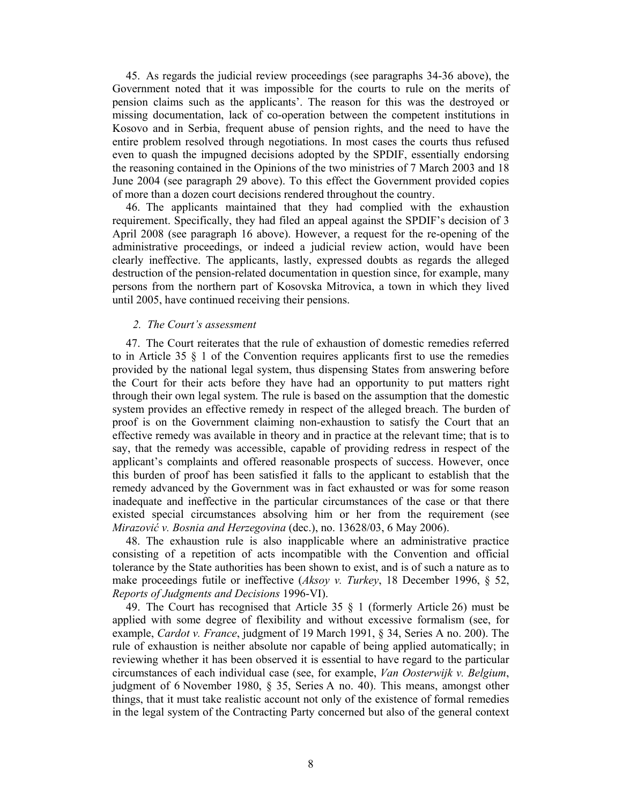45. As regards the judicial review proceedings (see paragraphs 34-36 above), the Government noted that it was impossible for the courts to rule on the merits of pension claims such as the applicants'. The reason for this was the destroyed or missing documentation, lack of co-operation between the competent institutions in Kosovo and in Serbia, frequent abuse of pension rights, and the need to have the entire problem resolved through negotiations. In most cases the courts thus refused even to quash the impugned decisions adopted by the SPDIF, essentially endorsing the reasoning contained in the Opinions of the two ministries of 7 March 2003 and 18 June 2004 (see paragraph 29 above). To this effect the Government provided copies of more than a dozen court decisions rendered throughout the country.

46. The applicants maintained that they had complied with the exhaustion requirement. Specifically, they had filed an appeal against the SPDIF's decision of 3 April 2008 (see paragraph 16 above). However, a request for the re-opening of the administrative proceedings, or indeed a judicial review action, would have been clearly ineffective. The applicants, lastly, expressed doubts as regards the alleged destruction of the pension-related documentation in question since, for example, many persons from the northern part of Kosovska Mitrovica, a town in which they lived until 2005, have continued receiving their pensions.

### *2. The Court's assessment*

47. The Court reiterates that the rule of exhaustion of domestic remedies referred to in Article 35  $\S$  1 of the Convention requires applicants first to use the remedies provided by the national legal system, thus dispensing States from answering before the Court for their acts before they have had an opportunity to put matters right through their own legal system. The rule is based on the assumption that the domestic system provides an effective remedy in respect of the alleged breach. The burden of proof is on the Government claiming non-exhaustion to satisfy the Court that an effective remedy was available in theory and in practice at the relevant time; that is to say, that the remedy was accessible, capable of providing redress in respect of the applicant's complaints and offered reasonable prospects of success. However, once this burden of proof has been satisfied it falls to the applicant to establish that the remedy advanced by the Government was in fact exhausted or was for some reason inadequate and ineffective in the particular circumstances of the case or that there existed special circumstances absolving him or her from the requirement (see *Mirazović v. Bosnia and Herzegovina* (dec.), no. 13628/03, 6 May 2006).

48. The exhaustion rule is also inapplicable where an administrative practice consisting of a repetition of acts incompatible with the Convention and official tolerance by the State authorities has been shown to exist, and is of such a nature as to make proceedings futile or ineffective (*Aksoy v. Turkey*, 18 December 1996, § 52, *Reports of Judgments and Decisions* 1996-VI).

49. The Court has recognised that Article 35 § 1 (formerly Article 26) must be applied with some degree of flexibility and without excessive formalism (see, for example, *Cardot v. France*, judgment of 19 March 1991, § 34, Series A no. 200). The rule of exhaustion is neither absolute nor capable of being applied automatically; in reviewing whether it has been observed it is essential to have regard to the particular circumstances of each individual case (see, for example, *Van Oosterwijk v. Belgium*, judgment of 6 November 1980, § 35, Series A no. 40). This means, amongst other things, that it must take realistic account not only of the existence of formal remedies in the legal system of the Contracting Party concerned but also of the general context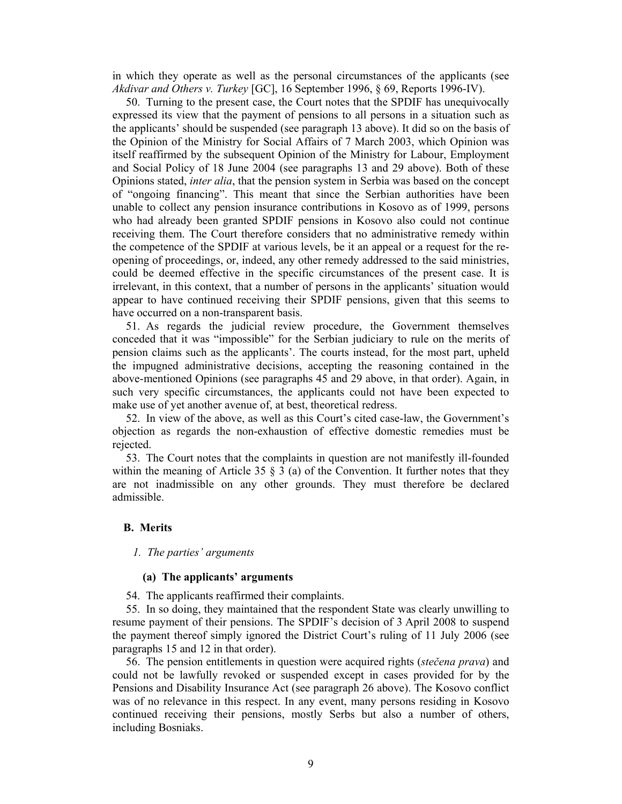in which they operate as well as the personal circumstances of the applicants (see *Akdivar and Others v. Turkey* [GC], 16 September 1996, § 69, Reports 1996-IV).

50. Turning to the present case, the Court notes that the SPDIF has unequivocally expressed its view that the payment of pensions to all persons in a situation such as the applicants' should be suspended (see paragraph 13 above). It did so on the basis of the Opinion of the Ministry for Social Affairs of 7 March 2003, which Opinion was itself reaffirmed by the subsequent Opinion of the Ministry for Labour, Employment and Social Policy of 18 June 2004 (see paragraphs 13 and 29 above). Both of these Opinions stated, *inter alia*, that the pension system in Serbia was based on the concept of "ongoing financing". This meant that since the Serbian authorities have been unable to collect any pension insurance contributions in Kosovo as of 1999, persons who had already been granted SPDIF pensions in Kosovo also could not continue receiving them. The Court therefore considers that no administrative remedy within the competence of the SPDIF at various levels, be it an appeal or a request for the reopening of proceedings, or, indeed, any other remedy addressed to the said ministries, could be deemed effective in the specific circumstances of the present case. It is irrelevant, in this context, that a number of persons in the applicants' situation would appear to have continued receiving their SPDIF pensions, given that this seems to have occurred on a non-transparent basis.

51. As regards the judicial review procedure, the Government themselves conceded that it was "impossible" for the Serbian judiciary to rule on the merits of pension claims such as the applicants'. The courts instead, for the most part, upheld the impugned administrative decisions, accepting the reasoning contained in the above-mentioned Opinions (see paragraphs 45 and 29 above, in that order). Again, in such very specific circumstances, the applicants could not have been expected to make use of yet another avenue of, at best, theoretical redress.

52. In view of the above, as well as this Court's cited case-law, the Government's objection as regards the non-exhaustion of effective domestic remedies must be rejected.

53. The Court notes that the complaints in question are not manifestly ill-founded within the meaning of Article 35  $\S$  3 (a) of the Convention. It further notes that they are not inadmissible on any other grounds. They must therefore be declared admissible.

### **B. Merits**

*1. The parties' arguments* 

### **(a) The applicants' arguments**

54. The applicants reaffirmed their complaints.

55. In so doing, they maintained that the respondent State was clearly unwilling to resume payment of their pensions. The SPDIF's decision of 3 April 2008 to suspend the payment thereof simply ignored the District Court's ruling of 11 July 2006 (see paragraphs 15 and 12 in that order).

56. The pension entitlements in question were acquired rights (*stečena prava*) and could not be lawfully revoked or suspended except in cases provided for by the Pensions and Disability Insurance Act (see paragraph 26 above). The Kosovo conflict was of no relevance in this respect. In any event, many persons residing in Kosovo continued receiving their pensions, mostly Serbs but also a number of others, including Bosniaks.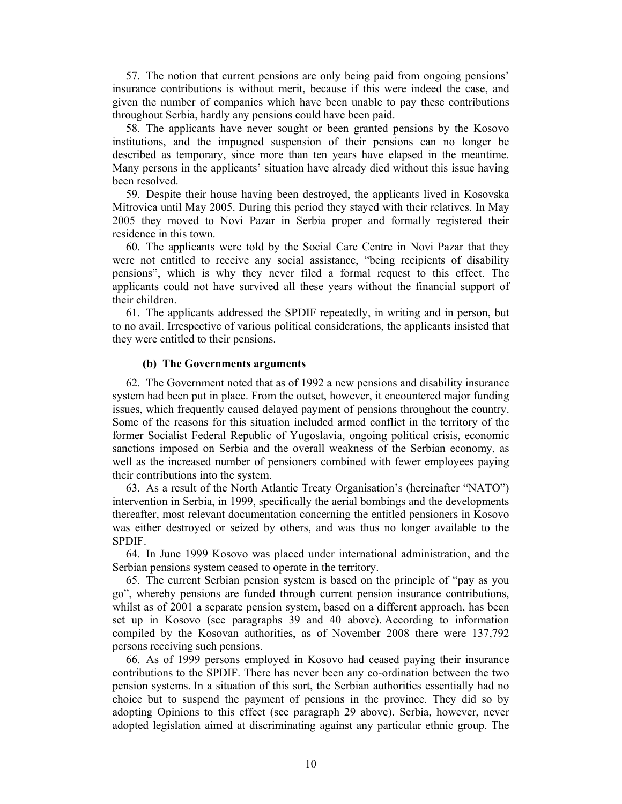57. The notion that current pensions are only being paid from ongoing pensions' insurance contributions is without merit, because if this were indeed the case, and given the number of companies which have been unable to pay these contributions throughout Serbia, hardly any pensions could have been paid.

58. The applicants have never sought or been granted pensions by the Kosovo institutions, and the impugned suspension of their pensions can no longer be described as temporary, since more than ten years have elapsed in the meantime. Many persons in the applicants' situation have already died without this issue having been resolved.

59. Despite their house having been destroyed, the applicants lived in Kosovska Mitrovica until May 2005. During this period they stayed with their relatives. In May 2005 they moved to Novi Pazar in Serbia proper and formally registered their residence in this town.

60. The applicants were told by the Social Care Centre in Novi Pazar that they were not entitled to receive any social assistance, "being recipients of disability pensions", which is why they never filed a formal request to this effect. The applicants could not have survived all these years without the financial support of their children.

61. The applicants addressed the SPDIF repeatedly, in writing and in person, but to no avail. Irrespective of various political considerations, the applicants insisted that they were entitled to their pensions.

### **(b) The Governments arguments**

62. The Government noted that as of 1992 a new pensions and disability insurance system had been put in place. From the outset, however, it encountered major funding issues, which frequently caused delayed payment of pensions throughout the country. Some of the reasons for this situation included armed conflict in the territory of the former Socialist Federal Republic of Yugoslavia, ongoing political crisis, economic sanctions imposed on Serbia and the overall weakness of the Serbian economy, as well as the increased number of pensioners combined with fewer employees paying their contributions into the system.

63. As a result of the North Atlantic Treaty Organisation's (hereinafter "NATO") intervention in Serbia, in 1999, specifically the aerial bombings and the developments thereafter, most relevant documentation concerning the entitled pensioners in Kosovo was either destroyed or seized by others, and was thus no longer available to the SPDIF.

64. In June 1999 Kosovo was placed under international administration, and the Serbian pensions system ceased to operate in the territory.

65. The current Serbian pension system is based on the principle of "pay as you go", whereby pensions are funded through current pension insurance contributions, whilst as of 2001 a separate pension system, based on a different approach, has been set up in Kosovo (see paragraphs 39 and 40 above). According to information compiled by the Kosovan authorities, as of November 2008 there were 137,792 persons receiving such pensions.

66. As of 1999 persons employed in Kosovo had ceased paying their insurance contributions to the SPDIF. There has never been any co-ordination between the two pension systems. In a situation of this sort, the Serbian authorities essentially had no choice but to suspend the payment of pensions in the province. They did so by adopting Opinions to this effect (see paragraph 29 above). Serbia, however, never adopted legislation aimed at discriminating against any particular ethnic group. The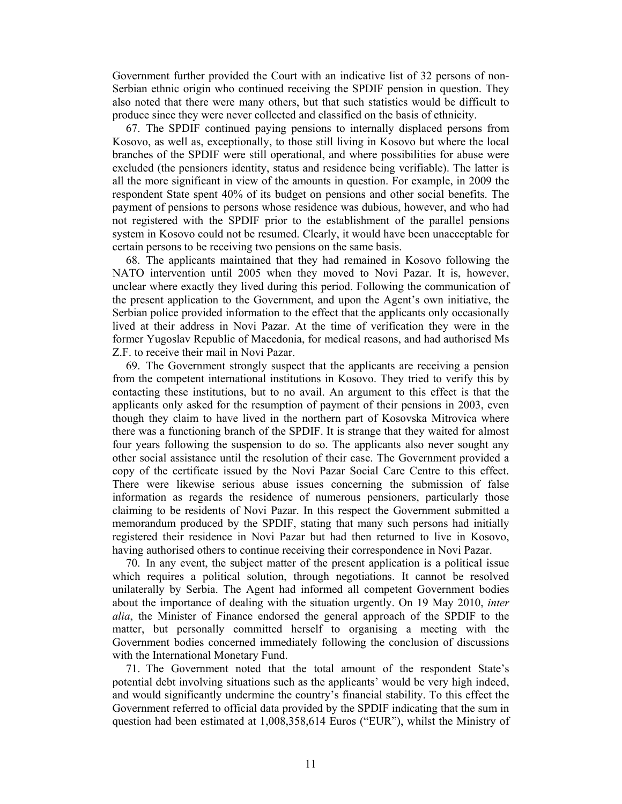Government further provided the Court with an indicative list of 32 persons of non-Serbian ethnic origin who continued receiving the SPDIF pension in question. They also noted that there were many others, but that such statistics would be difficult to produce since they were never collected and classified on the basis of ethnicity.

67. The SPDIF continued paying pensions to internally displaced persons from Kosovo, as well as, exceptionally, to those still living in Kosovo but where the local branches of the SPDIF were still operational, and where possibilities for abuse were excluded (the pensioners identity, status and residence being verifiable). The latter is all the more significant in view of the amounts in question. For example, in 2009 the respondent State spent 40% of its budget on pensions and other social benefits. The payment of pensions to persons whose residence was dubious, however, and who had not registered with the SPDIF prior to the establishment of the parallel pensions system in Kosovo could not be resumed. Clearly, it would have been unacceptable for certain persons to be receiving two pensions on the same basis.

68. The applicants maintained that they had remained in Kosovo following the NATO intervention until 2005 when they moved to Novi Pazar. It is, however, unclear where exactly they lived during this period. Following the communication of the present application to the Government, and upon the Agent's own initiative, the Serbian police provided information to the effect that the applicants only occasionally lived at their address in Novi Pazar. At the time of verification they were in the former Yugoslav Republic of Macedonia, for medical reasons, and had authorised Ms Z.F. to receive their mail in Novi Pazar.

69. The Government strongly suspect that the applicants are receiving a pension from the competent international institutions in Kosovo. They tried to verify this by contacting these institutions, but to no avail. An argument to this effect is that the applicants only asked for the resumption of payment of their pensions in 2003, even though they claim to have lived in the northern part of Kosovska Mitrovica where there was a functioning branch of the SPDIF. It is strange that they waited for almost four years following the suspension to do so. The applicants also never sought any other social assistance until the resolution of their case. The Government provided a copy of the certificate issued by the Novi Pazar Social Care Centre to this effect. There were likewise serious abuse issues concerning the submission of false information as regards the residence of numerous pensioners, particularly those claiming to be residents of Novi Pazar. In this respect the Government submitted a memorandum produced by the SPDIF, stating that many such persons had initially registered their residence in Novi Pazar but had then returned to live in Kosovo, having authorised others to continue receiving their correspondence in Novi Pazar.

70. In any event, the subject matter of the present application is a political issue which requires a political solution, through negotiations. It cannot be resolved unilaterally by Serbia. The Agent had informed all competent Government bodies about the importance of dealing with the situation urgently. On 19 May 2010, *inter alia*, the Minister of Finance endorsed the general approach of the SPDIF to the matter, but personally committed herself to organising a meeting with the Government bodies concerned immediately following the conclusion of discussions with the International Monetary Fund.

71. The Government noted that the total amount of the respondent State's potential debt involving situations such as the applicants' would be very high indeed, and would significantly undermine the country's financial stability. To this effect the Government referred to official data provided by the SPDIF indicating that the sum in question had been estimated at 1,008,358,614 Euros ("EUR"), whilst the Ministry of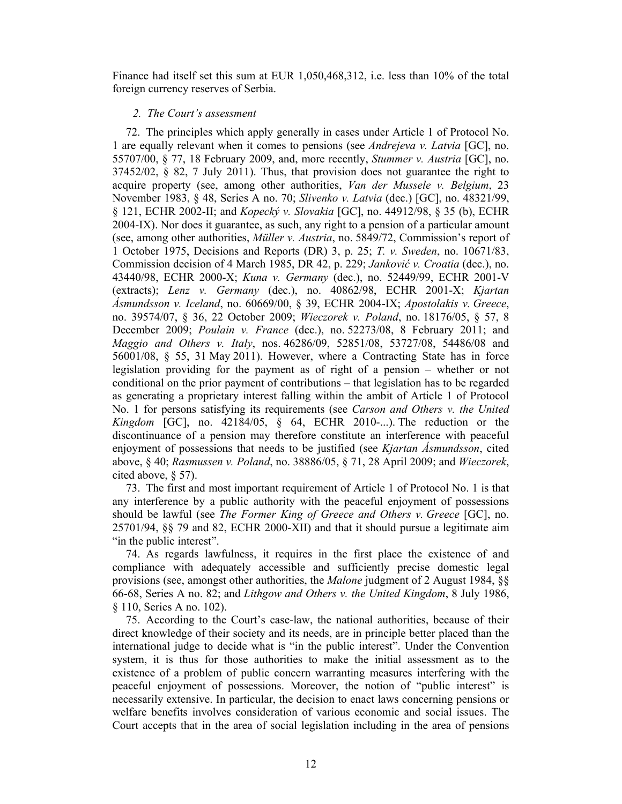Finance had itself set this sum at EUR 1,050,468,312, i.e. less than 10% of the total foreign currency reserves of Serbia.

### *2. The Court's assessment*

72. The principles which apply generally in cases under Article 1 of Protocol No. 1 are equally relevant when it comes to pensions (see *Andrejeva v. Latvia* [GC], no. 55707/00, § 77, 18 February 2009, and, more recently, *Stummer v. Austria* [GC], no.  $37452/02$ , § 82, 7 July 2011). Thus, that provision does not guarantee the right to acquire property (see, among other authorities, *Van der Mussele v. Belgium*, 23 November 1983, § 48, Series A no. 70; *Slivenko v. Latvia* (dec.) [GC], no. 48321/99, § 121, ECHR 2002-II; and *Kopecký v. Slovakia* [GC], no. 44912/98, § 35 (b), ECHR 2004-IX). Nor does it guarantee, as such, any right to a pension of a particular amount (see, among other authorities, *Müller v. Austria*, no. 5849/72, Commission's report of 1 October 1975, Decisions and Reports (DR) 3, p. 25; *T. v. Sweden*, no. 10671/83, Commission decision of 4 March 1985, DR 42, p. 229; *Janković v. Croatia* (dec.), no. 43440/98, ECHR 2000-X; *Kuna v. Germany* (dec.), no. 52449/99, ECHR 2001-V (extracts); *Lenz v. Germany* (dec.), no. 40862/98, ECHR 2001-X; *Kjartan Ásmundsson v. Iceland*, no. 60669/00, § 39, ECHR 2004-IX; *Apostolakis v. Greece*, no. 39574/07, § 36, 22 October 2009; *Wieczorek v. Poland*, no. 18176/05, § 57, 8 December 2009; *Poulain v. France* (dec.), no. 52273/08, 8 February 2011; and *Maggio and Others v. Italy*, nos. 46286/09, 52851/08, 53727/08, 54486/08 and 56001/08, § 55, 31 May 2011). However, where a Contracting State has in force legislation providing for the payment as of right of a pension – whether or not conditional on the prior payment of contributions – that legislation has to be regarded as generating a proprietary interest falling within the ambit of Article 1 of Protocol No. 1 for persons satisfying its requirements (see *Carson and Others v. the United Kingdom* [GC], no. 42184/05, § 64, ECHR 2010-...). The reduction or the discontinuance of a pension may therefore constitute an interference with peaceful enjoyment of possessions that needs to be justified (see *Kjartan Ásmundsson*, cited above, § 40; *Rasmussen v. Poland*, no. 38886/05, § 71, 28 April 2009; and *Wieczorek*, cited above, § 57).

73. The first and most important requirement of Article 1 of Protocol No. 1 is that any interference by a public authority with the peaceful enjoyment of possessions should be lawful (see *The Former King of Greece and Others v. Greece* [GC], no. 25701/94, §§ 79 and 82, ECHR 2000-XII) and that it should pursue a legitimate aim "in the public interest".

74. As regards lawfulness, it requires in the first place the existence of and compliance with adequately accessible and sufficiently precise domestic legal provisions (see, amongst other authorities, the *Malone* judgment of 2 August 1984, §§ 66-68, Series A no. 82; and *Lithgow and Others v. the United Kingdom*, 8 July 1986, § 110, Series A no. 102).

75. According to the Court's case-law, the national authorities, because of their direct knowledge of their society and its needs, are in principle better placed than the international judge to decide what is "in the public interest". Under the Convention system, it is thus for those authorities to make the initial assessment as to the existence of a problem of public concern warranting measures interfering with the peaceful enjoyment of possessions. Moreover, the notion of "public interest" is necessarily extensive. In particular, the decision to enact laws concerning pensions or welfare benefits involves consideration of various economic and social issues. The Court accepts that in the area of social legislation including in the area of pensions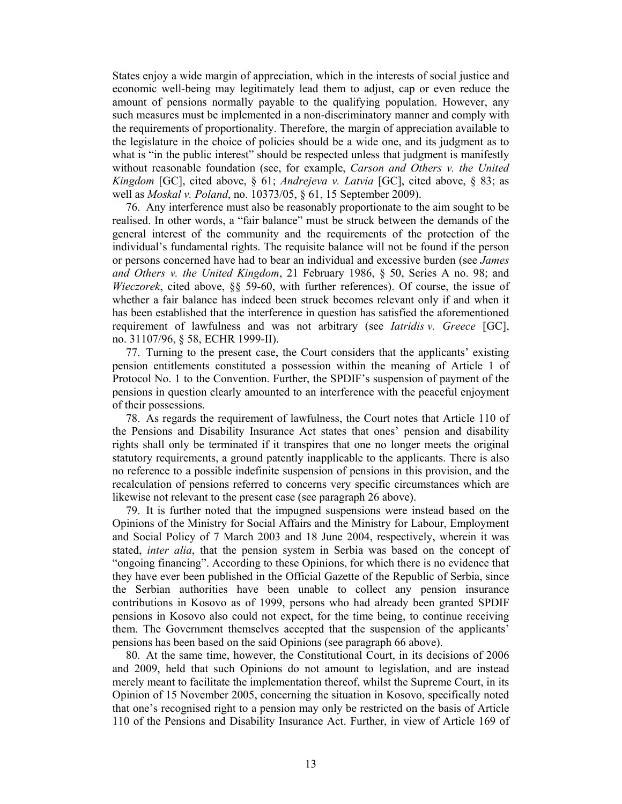States enjoy a wide margin of appreciation, which in the interests of social justice and economic well-being may legitimately lead them to adjust, cap or even reduce the amount of pensions normally payable to the qualifying population. However, any such measures must be implemented in a non-discriminatory manner and comply with the requirements of proportionality. Therefore, the margin of appreciation available to the legislature in the choice of policies should be a wide one, and its judgment as to what is "in the public interest" should be respected unless that judgment is manifestly without reasonable foundation (see, for example, *Carson and Others v. the United Kingdom* [GC], cited above, § 61; *Andrejeva v. Latvia* [GC], cited above, § 83; as well as *Moskal v. Poland*, no. 10373/05, § 61, 15 September 2009).

76. Any interference must also be reasonably proportionate to the aim sought to be realised. In other words, a "fair balance" must be struck between the demands of the general interest of the community and the requirements of the protection of the individual's fundamental rights. The requisite balance will not be found if the person or persons concerned have had to bear an individual and excessive burden (see *James and Others v. the United Kingdom*, 21 February 1986, § 50, Series A no. 98; and *Wieczorek*, cited above, §§ 59-60, with further references). Of course, the issue of whether a fair balance has indeed been struck becomes relevant only if and when it has been established that the interference in question has satisfied the aforementioned requirement of lawfulness and was not arbitrary (see *Iatridis v. Greece* [GC], no. 31107/96, § 58, ECHR 1999-II).

77. Turning to the present case, the Court considers that the applicants' existing pension entitlements constituted a possession within the meaning of Article 1 of Protocol No. 1 to the Convention. Further, the SPDIF's suspension of payment of the pensions in question clearly amounted to an interference with the peaceful enjoyment of their possessions.

78. As regards the requirement of lawfulness, the Court notes that Article 110 of the Pensions and Disability Insurance Act states that ones' pension and disability rights shall only be terminated if it transpires that one no longer meets the original statutory requirements, a ground patently inapplicable to the applicants. There is also no reference to a possible indefinite suspension of pensions in this provision, and the recalculation of pensions referred to concerns very specific circumstances which are likewise not relevant to the present case (see paragraph 26 above).

79. It is further noted that the impugned suspensions were instead based on the Opinions of the Ministry for Social Affairs and the Ministry for Labour, Employment and Social Policy of 7 March 2003 and 18 June 2004, respectively, wherein it was stated, *inter alia*, that the pension system in Serbia was based on the concept of "ongoing financing". According to these Opinions, for which there is no evidence that they have ever been published in the Official Gazette of the Republic of Serbia, since the Serbian authorities have been unable to collect any pension insurance contributions in Kosovo as of 1999, persons who had already been granted SPDIF pensions in Kosovo also could not expect, for the time being, to continue receiving them. The Government themselves accepted that the suspension of the applicants' pensions has been based on the said Opinions (see paragraph 66 above).

80. At the same time, however, the Constitutional Court, in its decisions of 2006 and 2009, held that such Opinions do not amount to legislation, and are instead merely meant to facilitate the implementation thereof, whilst the Supreme Court, in its Opinion of 15 November 2005, concerning the situation in Kosovo, specifically noted that one's recognised right to a pension may only be restricted on the basis of Article 110 of the Pensions and Disability Insurance Act. Further, in view of Article 169 of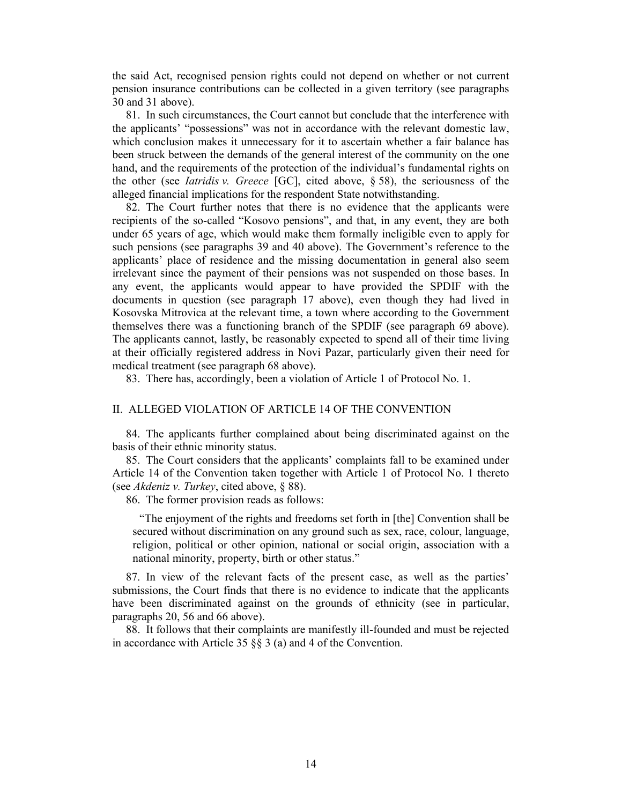the said Act, recognised pension rights could not depend on whether or not current pension insurance contributions can be collected in a given territory (see paragraphs 30 and 31 above).

81. In such circumstances, the Court cannot but conclude that the interference with the applicants' "possessions" was not in accordance with the relevant domestic law, which conclusion makes it unnecessary for it to ascertain whether a fair balance has been struck between the demands of the general interest of the community on the one hand, and the requirements of the protection of the individual's fundamental rights on the other (see *Iatridis v. Greece* [GC], cited above, § 58), the seriousness of the alleged financial implications for the respondent State notwithstanding.

82. The Court further notes that there is no evidence that the applicants were recipients of the so-called "Kosovo pensions", and that, in any event, they are both under 65 years of age, which would make them formally ineligible even to apply for such pensions (see paragraphs 39 and 40 above). The Government's reference to the applicants' place of residence and the missing documentation in general also seem irrelevant since the payment of their pensions was not suspended on those bases. In any event, the applicants would appear to have provided the SPDIF with the documents in question (see paragraph 17 above), even though they had lived in Kosovska Mitrovica at the relevant time, a town where according to the Government themselves there was a functioning branch of the SPDIF (see paragraph 69 above). The applicants cannot, lastly, be reasonably expected to spend all of their time living at their officially registered address in Novi Pazar, particularly given their need for medical treatment (see paragraph 68 above).

83. There has, accordingly, been a violation of Article 1 of Protocol No. 1.

### II. ALLEGED VIOLATION OF ARTICLE 14 OF THE CONVENTION

84. The applicants further complained about being discriminated against on the basis of their ethnic minority status.

85. The Court considers that the applicants' complaints fall to be examined under Article 14 of the Convention taken together with Article 1 of Protocol No. 1 thereto (see *Akdeniz v. Turkey*, cited above, § 88).

86. The former provision reads as follows:

"The enjoyment of the rights and freedoms set forth in [the] Convention shall be secured without discrimination on any ground such as sex, race, colour, language, religion, political or other opinion, national or social origin, association with a national minority, property, birth or other status."

87. In view of the relevant facts of the present case, as well as the parties' submissions, the Court finds that there is no evidence to indicate that the applicants have been discriminated against on the grounds of ethnicity (see in particular, paragraphs 20, 56 and 66 above).

88. It follows that their complaints are manifestly ill-founded and must be rejected in accordance with Article 35 §§ 3 (a) and 4 of the Convention.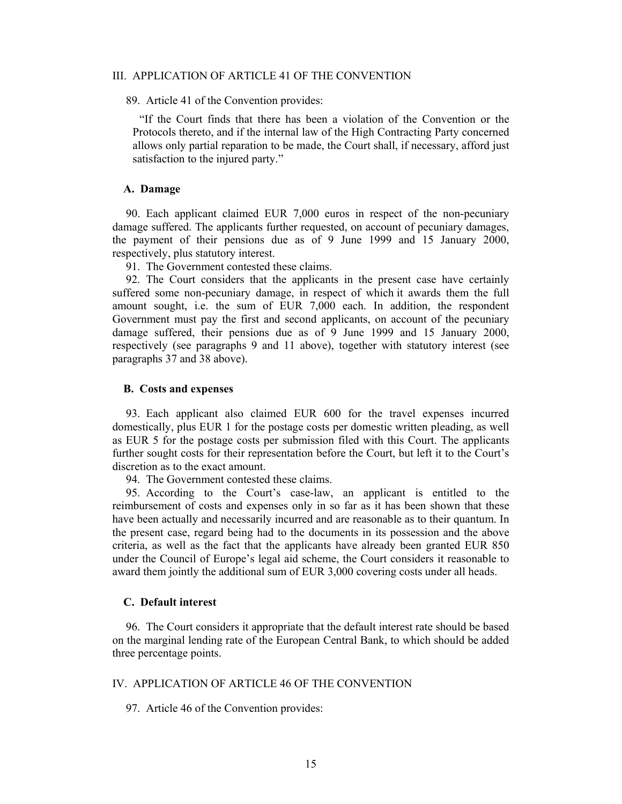### III. APPLICATION OF ARTICLE 41 OF THE CONVENTION

89. Article 41 of the Convention provides:

"If the Court finds that there has been a violation of the Convention or the Protocols thereto, and if the internal law of the High Contracting Party concerned allows only partial reparation to be made, the Court shall, if necessary, afford just satisfaction to the injured party."

### **A. Damage**

90. Each applicant claimed EUR 7,000 euros in respect of the non-pecuniary damage suffered. The applicants further requested, on account of pecuniary damages, the payment of their pensions due as of 9 June 1999 and 15 January 2000, respectively, plus statutory interest.

91. The Government contested these claims.

92. The Court considers that the applicants in the present case have certainly suffered some non-pecuniary damage, in respect of which it awards them the full amount sought, i.e. the sum of EUR 7,000 each. In addition, the respondent Government must pay the first and second applicants, on account of the pecuniary damage suffered, their pensions due as of 9 June 1999 and 15 January 2000, respectively (see paragraphs 9 and 11 above), together with statutory interest (see paragraphs 37 and 38 above).

### **B. Costs and expenses**

93. Each applicant also claimed EUR 600 for the travel expenses incurred domestically, plus EUR 1 for the postage costs per domestic written pleading, as well as EUR 5 for the postage costs per submission filed with this Court. The applicants further sought costs for their representation before the Court, but left it to the Court's discretion as to the exact amount.

94. The Government contested these claims.

95. According to the Court's case-law, an applicant is entitled to the reimbursement of costs and expenses only in so far as it has been shown that these have been actually and necessarily incurred and are reasonable as to their quantum. In the present case, regard being had to the documents in its possession and the above criteria, as well as the fact that the applicants have already been granted EUR 850 under the Council of Europe's legal aid scheme, the Court considers it reasonable to award them jointly the additional sum of EUR 3,000 covering costs under all heads.

### **C. Default interest**

96. The Court considers it appropriate that the default interest rate should be based on the marginal lending rate of the European Central Bank, to which should be added three percentage points.

### IV. APPLICATION OF ARTICLE 46 OF THE CONVENTION

97. Article 46 of the Convention provides: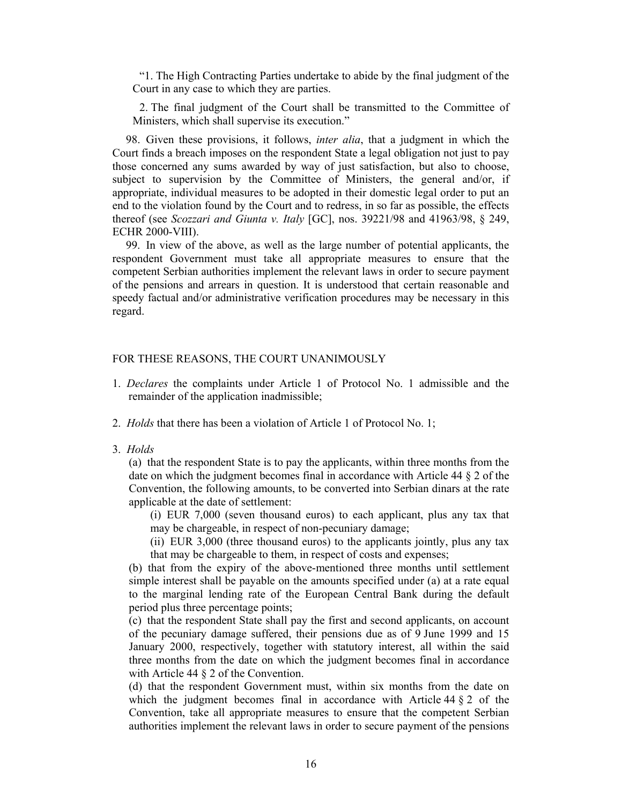"1. The High Contracting Parties undertake to abide by the final judgment of the Court in any case to which they are parties.

2. The final judgment of the Court shall be transmitted to the Committee of Ministers, which shall supervise its execution."

98. Given these provisions, it follows, *inter alia*, that a judgment in which the Court finds a breach imposes on the respondent State a legal obligation not just to pay those concerned any sums awarded by way of just satisfaction, but also to choose, subject to supervision by the Committee of Ministers, the general and/or, if appropriate, individual measures to be adopted in their domestic legal order to put an end to the violation found by the Court and to redress, in so far as possible, the effects thereof (see *Scozzari and Giunta v. Italy* [GC], nos. 39221/98 and 41963/98, § 249, ECHR 2000-VIII).

99. In view of the above, as well as the large number of potential applicants, the respondent Government must take all appropriate measures to ensure that the competent Serbian authorities implement the relevant laws in order to secure payment of the pensions and arrears in question. It is understood that certain reasonable and speedy factual and/or administrative verification procedures may be necessary in this regard.

### FOR THESE REASONS, THE COURT UNANIMOUSLY

- 1. *Declares* the complaints under Article 1 of Protocol No. 1 admissible and the remainder of the application inadmissible;
- 2. *Holds* that there has been a violation of Article 1 of Protocol No. 1;
- 3. *Holds*

(a) that the respondent State is to pay the applicants, within three months from the date on which the judgment becomes final in accordance with Article 44 § 2 of the Convention, the following amounts, to be converted into Serbian dinars at the rate applicable at the date of settlement:

(i) EUR 7,000 (seven thousand euros) to each applicant, plus any tax that may be chargeable, in respect of non-pecuniary damage;

(ii) EUR 3,000 (three thousand euros) to the applicants jointly, plus any tax that may be chargeable to them, in respect of costs and expenses;

(b) that from the expiry of the above-mentioned three months until settlement simple interest shall be payable on the amounts specified under (a) at a rate equal to the marginal lending rate of the European Central Bank during the default period plus three percentage points;

(c) that the respondent State shall pay the first and second applicants, on account of the pecuniary damage suffered, their pensions due as of 9 June 1999 and 15 January 2000, respectively, together with statutory interest, all within the said three months from the date on which the judgment becomes final in accordance with Article 44  $\S$  2 of the Convention.

(d) that the respondent Government must, within six months from the date on which the judgment becomes final in accordance with Article  $44 \& 2$  of the Convention, take all appropriate measures to ensure that the competent Serbian authorities implement the relevant laws in order to secure payment of the pensions